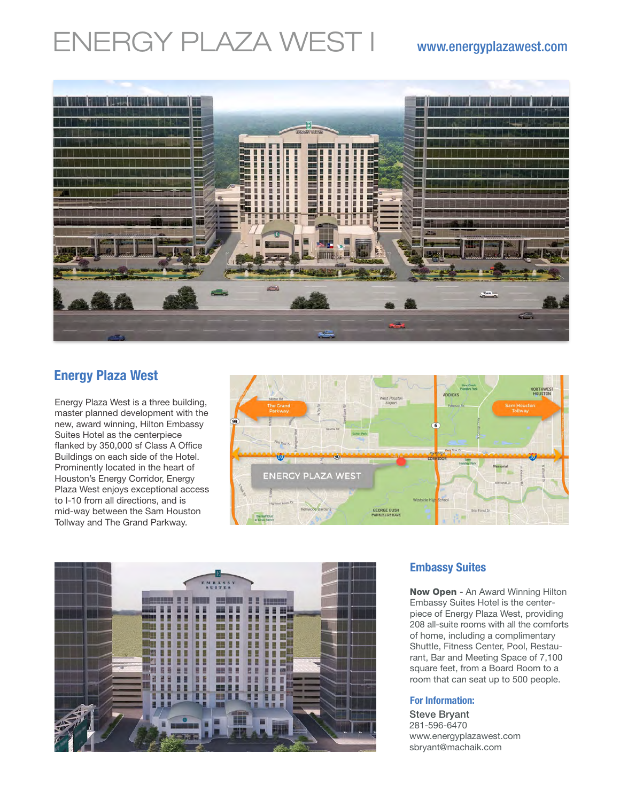# ENERGY PLAZA WEST I www.energyplazawest.com



# **Energy Plaza West**

Energy Plaza West is a three building, master planned development with the new, award winning, Hilton Embassy Suites Hotel as the centerpiece flanked by 350,000 sf Class A Office Buildings on each side of the Hotel. Prominently located in the heart of Houston's Energy Corridor, Energy Plaza West enjoys exceptional access to I-10 from all directions, and is mid-way between the Sam Houston Tollway and The Grand Parkway.





## **Embassy Suites**

Now Open - An Award Winning Hilton Embassy Suites Hotel is the centerpiece of Energy Plaza West, providing 208 all-suite rooms with all the comforts of home, including a complimentary Shuttle, Fitness Center, Pool, Restaurant, Bar and Meeting Space of 7,100 square feet, from a Board Room to a room that can seat up to 500 people.

### **For Information:**

Steve Bryant 281-596-6470 www.energyplazawest.com sbryant@machaik.com